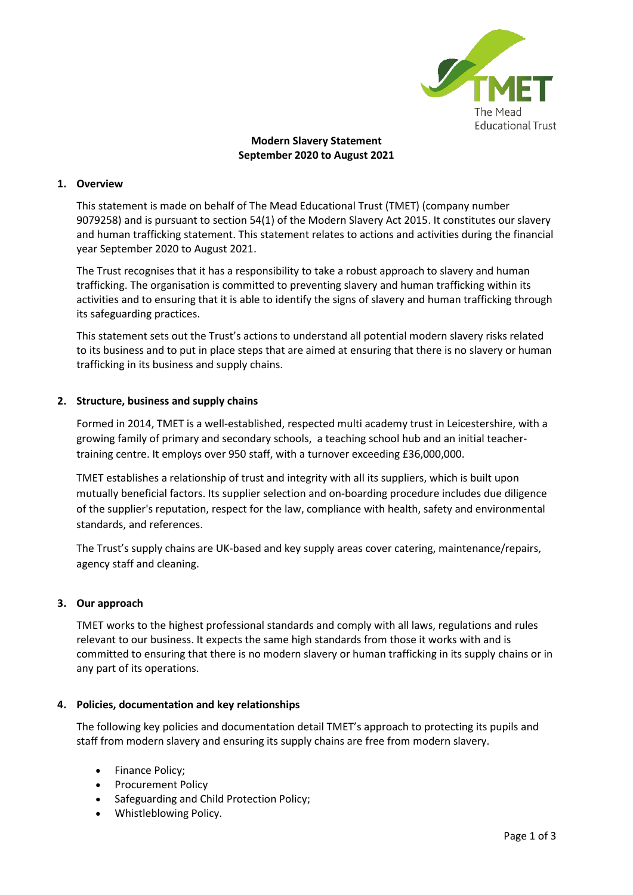

### **Modern Slavery Statement September 2020 to August 2021**

### **1. Overview**

This statement is made on behalf of The Mead Educational Trust (TMET) (company number 9079258) and is pursuant to section 54(1) of the Modern Slavery Act 2015. It constitutes our slavery and human trafficking statement. This statement relates to actions and activities during the financial year September 2020 to August 2021.

The Trust recognises that it has a responsibility to take a robust approach to slavery and human trafficking. The organisation is committed to preventing slavery and human trafficking within its activities and to ensuring that it is able to identify the signs of slavery and human trafficking through its safeguarding practices.

This statement sets out the Trust's actions to understand all potential modern slavery risks related to its business and to put in place steps that are aimed at ensuring that there is no slavery or human trafficking in its business and supply chains.

### **2. Structure, business and supply chains**

Formed in 2014, TMET is a well-established, respected multi academy trust in Leicestershire, with a growing family of primary and secondary schools, a teaching school hub and an initial teachertraining centre. It employs over 950 staff, with a turnover exceeding £36,000,000.

TMET establishes a relationship of trust and integrity with all its suppliers, which is built upon mutually beneficial factors. Its supplier selection and on-boarding procedure includes due diligence of the supplier's reputation, respect for the law, compliance with health, safety and environmental standards, and references.

The Trust's supply chains are UK-based and key supply areas cover catering, maintenance/repairs, agency staff and cleaning.

### **3. Our approach**

TMET works to the highest professional standards and comply with all laws, regulations and rules relevant to our business. It expects the same high standards from those it works with and is committed to ensuring that there is no modern slavery or human trafficking in its supply chains or in any part of its operations.

### **4. Policies, documentation and key relationships**

The following key policies and documentation detail TMET's approach to protecting its pupils and staff from modern slavery and ensuring its supply chains are free from modern slavery.

- Finance Policy;
- Procurement Policy
- Safeguarding and Child Protection Policy;
- Whistleblowing Policy.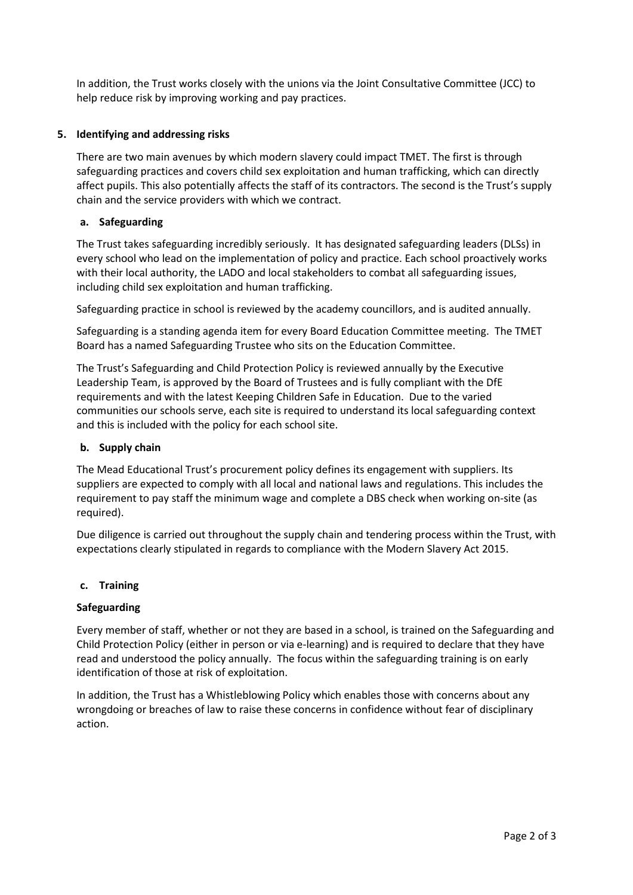In addition, the Trust works closely with the unions via the Joint Consultative Committee (JCC) to help reduce risk by improving working and pay practices.

# **5. Identifying and addressing risks**

There are two main avenues by which modern slavery could impact TMET. The first is through safeguarding practices and covers child sex exploitation and human trafficking, which can directly affect pupils. This also potentially affects the staff of its contractors. The second is the Trust's supply chain and the service providers with which we contract.

# **a. Safeguarding**

The Trust takes safeguarding incredibly seriously. It has designated safeguarding leaders (DLSs) in every school who lead on the implementation of policy and practice. Each school proactively works with their local authority, the LADO and local stakeholders to combat all safeguarding issues, including child sex exploitation and human trafficking.

Safeguarding practice in school is reviewed by the academy councillors, and is audited annually.

Safeguarding is a standing agenda item for every Board Education Committee meeting. The TMET Board has a named Safeguarding Trustee who sits on the Education Committee.

The Trust's Safeguarding and Child Protection Policy is reviewed annually by the Executive Leadership Team, is approved by the Board of Trustees and is fully compliant with the DfE requirements and with the latest Keeping Children Safe in Education. Due to the varied communities our schools serve, each site is required to understand its local safeguarding context and this is included with the policy for each school site.

# **b. Supply chain**

The Mead Educational Trust's procurement policy defines its engagement with suppliers. Its suppliers are expected to comply with all local and national laws and regulations. This includes the requirement to pay staff the minimum wage and complete a DBS check when working on-site (as required).

Due diligence is carried out throughout the supply chain and tendering process within the Trust, with expectations clearly stipulated in regards to compliance with the Modern Slavery Act 2015.

### **c. Training**

### **Safeguarding**

Every member of staff, whether or not they are based in a school, is trained on the Safeguarding and Child Protection Policy (either in person or via e-learning) and is required to declare that they have read and understood the policy annually. The focus within the safeguarding training is on early identification of those at risk of exploitation.

In addition, the Trust has a Whistleblowing Policy which enables those with concerns about any wrongdoing or breaches of law to raise these concerns in confidence without fear of disciplinary action.